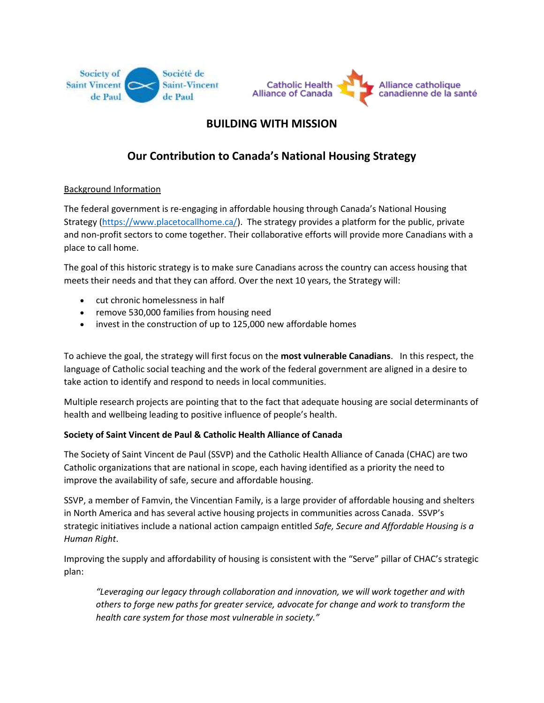



## **BUILDING WITH MISSION**

# **Our Contribution to Canada's National Housing Strategy**

### Background Information

The federal government is re-engaging in affordable housing through Canada's National Housing Strategy [\(https://www.placetocallhome.ca/\)](https://www.placetocallhome.ca/). The strategy provides a platform for the public, private and non-profit sectors to come together. Their collaborative efforts will provide more Canadians with a place to call home.

The goal of this historic strategy is to make sure Canadians across the country can access housing that meets their needs and that they can afford. Over the next 10 years, the Strategy will:

- cut chronic homelessness in half
- remove 530,000 families from housing need
- invest in the construction of up to 125,000 new affordable homes

To achieve the goal, the strategy will first focus on the **most vulnerable Canadians**. In this respect, the language of Catholic social teaching and the work of the federal government are aligned in a desire to take action to identify and respond to needs in local communities.

Multiple research projects are pointing that to the fact that adequate housing are social determinants of health and wellbeing leading to positive influence of people's health.

#### **Society of Saint Vincent de Paul & Catholic Health Alliance of Canada**

The Society of Saint Vincent de Paul (SSVP) and the Catholic Health Alliance of Canada (CHAC) are two Catholic organizations that are national in scope, each having identified as a priority the need to improve the availability of safe, secure and affordable housing.

SSVP, a member of Famvin, the Vincentian Family, is a large provider of affordable housing and shelters in North America and has several active housing projects in communities across Canada. SSVP's strategic initiatives include a national action campaign entitled *Safe, Secure and Affordable Housing is a Human Right*.

Improving the supply and affordability of housing is consistent with the "Serve" pillar of CHAC's strategic plan:

*"Leveraging our legacy through collaboration and innovation, we will work together and with others to forge new paths for greater service, advocate for change and work to transform the health care system for those most vulnerable in society."*